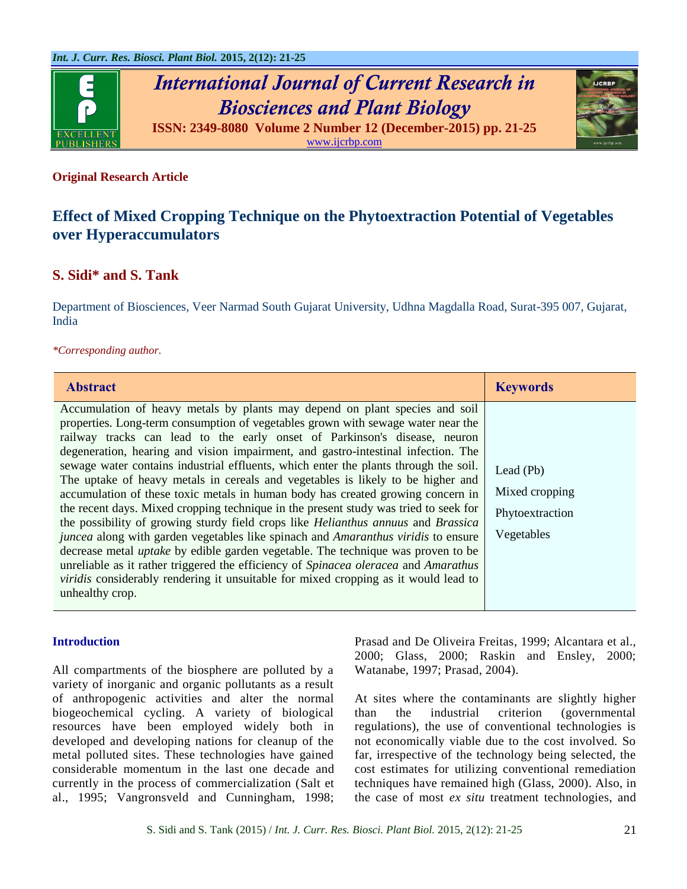

*International Journal of Current Research in Biosciences and Plant Biology* **ISSN: 2349-8080 Volume 2 Number 12 (December-2015) pp. 21-25**

[www.ijcrbp.com](http://www.ijcrbp.com/)

## **Original Research Article**

# **Effect of Mixed Cropping Technique on the Phytoextraction Potential of Vegetables over Hyperaccumulators**

## **S. Sidi\* and S. Tank**

Department of Biosciences, Veer Narmad South Gujarat University, Udhna Magdalla Road, Surat-395 007, Gujarat, India

#### *\*Corresponding author.*

| <b>Abstract</b>                                                                                                                                                                                                                                                                                                                                                                                                                                                                                                                                                                                                                                                                                                                                                                                                                                                                                                                                                                                                                                                                                                                                                                           | <b>Keywords</b>                                                |
|-------------------------------------------------------------------------------------------------------------------------------------------------------------------------------------------------------------------------------------------------------------------------------------------------------------------------------------------------------------------------------------------------------------------------------------------------------------------------------------------------------------------------------------------------------------------------------------------------------------------------------------------------------------------------------------------------------------------------------------------------------------------------------------------------------------------------------------------------------------------------------------------------------------------------------------------------------------------------------------------------------------------------------------------------------------------------------------------------------------------------------------------------------------------------------------------|----------------------------------------------------------------|
| Accumulation of heavy metals by plants may depend on plant species and soil<br>properties. Long-term consumption of vegetables grown with sewage water near the<br>railway tracks can lead to the early onset of Parkinson's disease, neuron<br>degeneration, hearing and vision impairment, and gastro-intestinal infection. The<br>sewage water contains industrial effluents, which enter the plants through the soil.<br>The uptake of heavy metals in cereals and vegetables is likely to be higher and<br>accumulation of these toxic metals in human body has created growing concern in<br>the recent days. Mixed cropping technique in the present study was tried to seek for<br>the possibility of growing sturdy field crops like Helianthus annuus and Brassica<br><i>juncea</i> along with garden vegetables like spinach and <i>Amaranthus viridis</i> to ensure<br>decrease metal <i>uptake</i> by edible garden vegetable. The technique was proven to be<br>unreliable as it rather triggered the efficiency of <i>Spinacea oleracea</i> and <i>Amarathus</i><br>viridis considerably rendering it unsuitable for mixed cropping as it would lead to<br>unhealthy crop. | Lead $(Pb)$<br>Mixed cropping<br>Phytoextraction<br>Vegetables |

## **Introduction**

All compartments of the biosphere are polluted by a variety of inorganic and organic pollutants as a result of anthropogenic activities and alter the normal biogeochemical cycling. A variety of biological resources have been employed widely both in developed and developing nations for cleanup of the metal polluted sites. These technologies have gained considerable momentum in the last one decade and currently in the process of commercialization (Salt et al., 1995; Vangronsveld and Cunningham, 1998; Prasad and De Oliveira Freitas, 1999; Alcantara et al., 2000; Glass, 2000; Raskin and Ensley, 2000; Watanabe, 1997; Prasad, 2004).

At sites where the contaminants are slightly higher than the industrial criterion (governmental regulations), the use of conventional technologies is not economically viable due to the cost involved. So far, irrespective of the technology being selected, the cost estimates for utilizing conventional remediation techniques have remained high (Glass, 2000). Also, in the case of most *ex situ* treatment technologies, and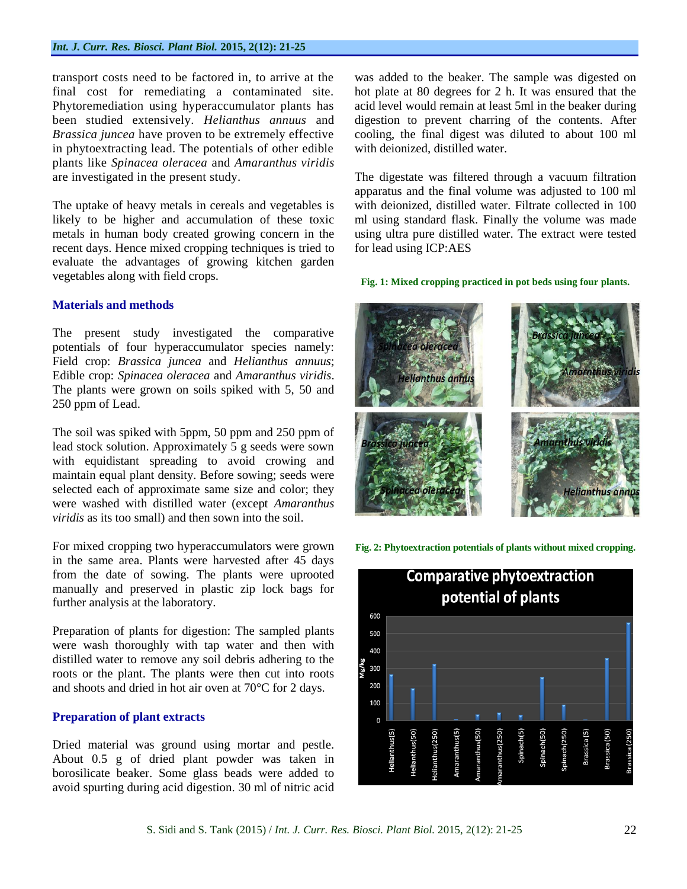transport costs need to be factored in, to arrive at the final cost for remediating a contaminated site. Phytoremediation using hyperaccumulator plants has been studied extensively. *Helianthus annuus* and *Brassica juncea* have proven to be extremely effective in phytoextracting lead. The potentials of other edible plants like *Spinacea oleracea* and *Amaranthus viridis* are investigated in the present study.

The uptake of heavy metals in cereals and vegetables is likely to be higher and accumulation of these toxic metals in human body created growing concern in the recent days. Hence mixed cropping techniques is tried to evaluate the advantages of growing kitchen garden vegetables along with field crops.

### **Materials and methods**

The present study investigated the comparative potentials of four hyperaccumulator species namely: Field crop: *Brassica juncea* and *Helianthus annuus*; Edible crop: *Spinacea oleracea* and *Amaranthus viridis*. The plants were grown on soils spiked with 5, 50 and 250 ppm of Lead.

The soil was spiked with 5ppm, 50 ppm and 250 ppm of lead stock solution. Approximately 5 g seeds were sown with equidistant spreading to avoid crowing and maintain equal plant density. Before sowing; seeds were selected each of approximate same size and color; they were washed with distilled water (except *Amaranthus viridis* as its too small) and then sown into the soil.

For mixed cropping two hyperaccumulators were grown in the same area. Plants were harvested after 45 days from the date of sowing. The plants were uprooted manually and preserved in plastic zip lock bags for further analysis at the laboratory.

Preparation of plants for digestion: The sampled plants were wash thoroughly with tap water and then with distilled water to remove any soil debris adhering to the roots or the plant. The plants were then cut into roots and shoots and dried in hot air oven at 70°C for 2 days.

## **Preparation of plant extracts**

Dried material was ground using mortar and pestle. About 0.5 g of dried plant powder was taken in borosilicate beaker. Some glass beads were added to avoid spurting during acid digestion. 30 ml of nitric acid was added to the beaker. The sample was digested on hot plate at 80 degrees for 2 h. It was ensured that the acid level would remain at least 5ml in the beaker during digestion to prevent charring of the contents. After cooling, the final digest was diluted to about 100 ml with deionized, distilled water.

The digestate was filtered through a vacuum filtration apparatus and the final volume was adjusted to 100 ml with deionized, distilled water. Filtrate collected in 100 ml using standard flask. Finally the volume was made using ultra pure distilled water. The extract were tested for lead using ICP:AES

#### **Fig. 1: Mixed cropping practiced in pot beds using four plants.**



**Fig. 2: Phytoextraction potentials of plants without mixed cropping.**

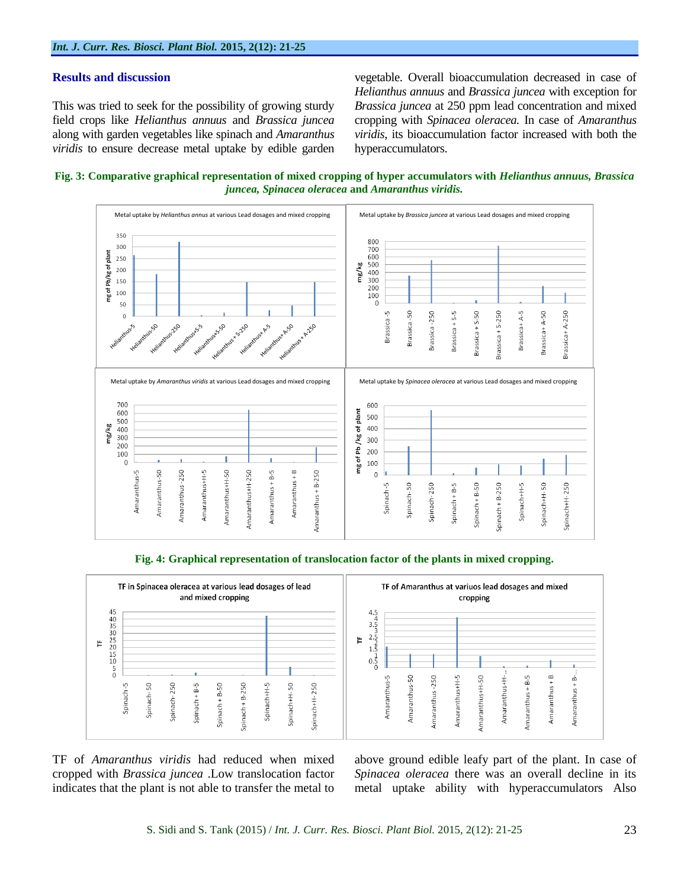#### **Results and discussion**

This was tried to seek for the possibility of growing sturdy field crops like *Helianthus annuus* and *Brassica juncea* along with garden vegetables like spinach and *Amaranthus viridis* to ensure decrease metal uptake by edible garden vegetable. Overall bioaccumulation decreased in case of *Helianthus annuus* and *Brassica juncea* with exception for *Brassica juncea* at 250 ppm lead concentration and mixed cropping with *Spinacea oleracea.* In case of *Amaranthus viridis*, its bioaccumulation factor increased with both the hyperaccumulators.

**Fig. 3: Comparative graphical representation of mixed cropping of hyper accumulators with** *Helianthus annuus, Brassica juncea, Spinacea oleracea* **and** *Amaranthus viridis.*







TF of *Amaranthus viridis* had reduced when mixed cropped with *Brassica juncea* .Low translocation factor indicates that the plant is not able to transfer the metal to

above ground edible leafy part of the plant. In case of *Spinacea oleracea* there was an overall decline in its metal uptake ability with hyperaccumulators Also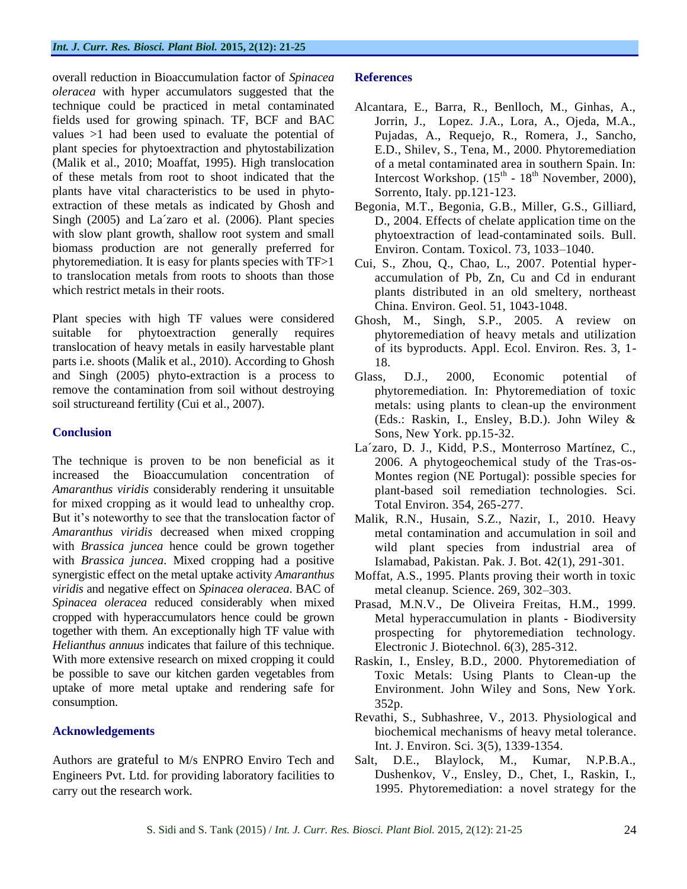overall reduction in Bioaccumulation factor of *Spinacea oleracea* with hyper accumulators suggested that the technique could be practiced in metal contaminated fields used for growing spinach. TF, BCF and BAC values >1 had been used to evaluate the potential of plant species for phytoextraction and phytostabilization (Malik et al., 2010; Moaffat, 1995). High translocation of these metals from root to shoot indicated that the plants have vital characteristics to be used in phytoextraction of these metals as indicated by Ghosh and Singh (2005) and La´zaro et al. (2006). Plant species with slow plant growth, shallow root system and small biomass production are not generally preferred for phytoremediation. It is easy for plants species with TF>1 to translocation metals from roots to shoots than those which restrict metals in their roots.

Plant species with high TF values were considered suitable for phytoextraction generally requires translocation of heavy metals in easily harvestable plant parts i.e. shoots (Malik et al., 2010). According to Ghosh and Singh (2005) phyto-extraction is a process to remove the contamination from soil without destroying soil structureand fertility (Cui et al., 2007).

## **Conclusion**

The technique is proven to be non beneficial as it increased the Bioaccumulation concentration of *Amaranthus viridis* considerably rendering it unsuitable for mixed cropping as it would lead to unhealthy crop. But it's noteworthy to see that the translocation factor of *Amaranthus viridis* decreased when mixed cropping with *Brassica juncea* hence could be grown together with *Brassica juncea*. Mixed cropping had a positive synergistic effect on the metal uptake activity *Amaranthus viridis* and negative effect on *Spinacea oleracea*. BAC of *Spinacea oleracea* reduced considerably when mixed cropped with hyperaccumulators hence could be grown together with them. An exceptionally high TF value with *Helianthus annuus* indicates that failure of this technique. With more extensive research on mixed cropping it could be possible to save our kitchen garden vegetables from uptake of more metal uptake and rendering safe for consumption.

#### **Acknowledgements**

Authors are grateful to M/s ENPRO Enviro Tech and Engineers Pvt. Ltd. for providing laboratory facilities to carry out the research work.

#### **References**

- Alcantara, E., Barra, R., Benlloch, M., Ginhas, A., Jorrin, J., Lopez. J.A., Lora, A., Ojeda, M.A., Pujadas, A., Requejo, R., Romera, J., Sancho, E.D., Shilev, S., Tena, M., 2000. Phytoremediation of a metal contaminated area in southern Spain. In: Intercost Workshop.  $(15<sup>th</sup> - 18<sup>th</sup>$  November, 2000), Sorrento, Italy. pp.121-123.
- Begonia, M.T., Begonia, G.B., Miller, G.S., Gilliard, D., 2004. Effects of chelate application time on the phytoextraction of lead-contaminated soils. Bull. Environ. Contam. Toxicol. 73, 1033–1040.
- Cui, S., Zhou, Q., Chao, L., 2007. Potential hyperaccumulation of Pb, Zn, Cu and Cd in endurant plants distributed in an old smeltery, northeast China. Environ. Geol. 51, 1043-1048.
- Ghosh, M., Singh, S.P., 2005. A review on phytoremediation of heavy metals and utilization of its byproducts. Appl. Ecol. Environ. Res. 3, 1- 18.
- Glass, D.J., 2000, Economic potential of phytoremediation. In: Phytoremediation of toxic metals: using plants to clean-up the environment (Eds.: Raskin, I., Ensley, B.D.). John Wiley & Sons, New York. pp.15-32.
- La´zaro, D. J., Kidd, P.S., Monterroso Martínez, C., 2006. A phytogeochemical study of the Tras-os-Montes region (NE Portugal): possible species for plant-based soil remediation technologies. Sci. Total Environ. 354, 265-277.
- Malik, R.N., Husain, S.Z., Nazir, I., 2010. Heavy metal contamination and accumulation in soil and wild plant species from industrial area of Islamabad, Pakistan. Pak. J. Bot. 42(1), 291-301.
- Moffat, A.S., 1995. Plants proving their worth in toxic metal cleanup. Science. 269, 302–303.
- Prasad, M.N.V., De Oliveira Freitas, H.M., 1999. Metal hyperaccumulation in plants - Biodiversity prospecting for phytoremediation technology. Electronic J. Biotechnol. 6(3), 285-312.
- Raskin, I., Ensley, B.D., 2000. Phytoremediation of Toxic Metals: Using Plants to Clean-up the Environment. John Wiley and Sons, New York. 352p.
- Revathi, S., Subhashree, V., 2013. Physiological and biochemical mechanisms of heavy metal tolerance. Int. J. Environ. Sci. 3(5), 1339-1354.
- Salt, D.E., Blaylock, M., Kumar, N.P.B.A., Dushenkov, V., Ensley, D., Chet, I., Raskin, I., 1995. Phytoremediation: a novel strategy for the